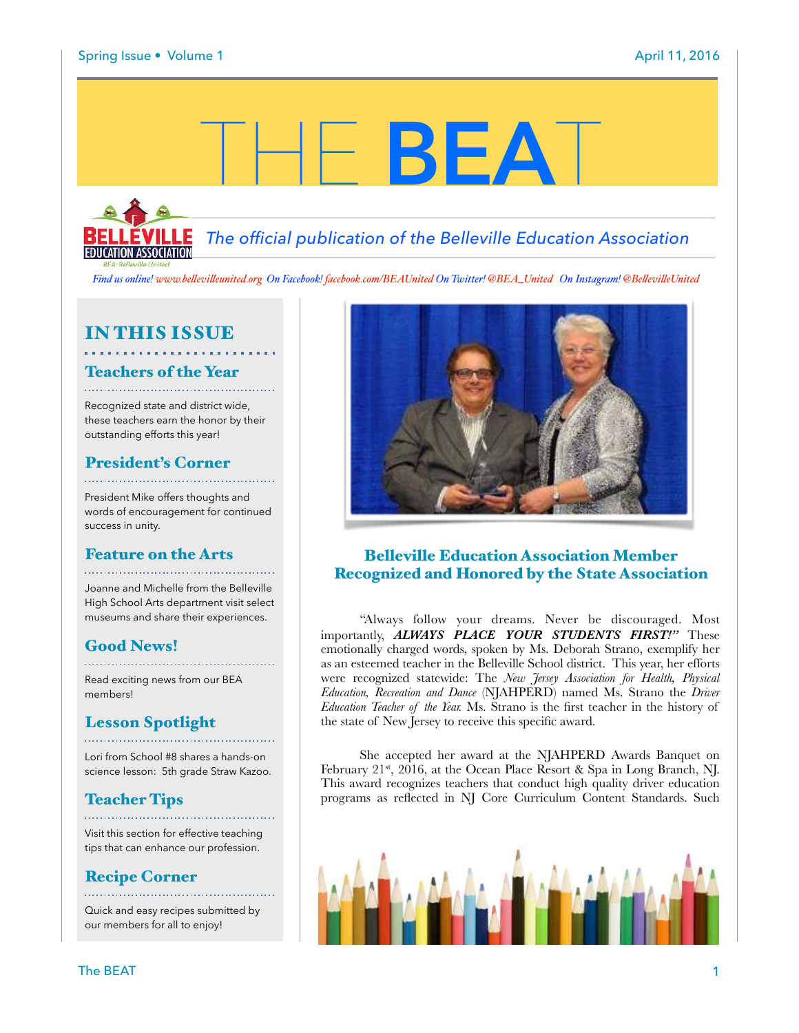*The official publication of the Belleville Education Association*

THE **BEA**T

*Find us online! www.be!evi![eunited.org](http://www.bellevilleunited.org) On Facebook! [facebook.com/BEAUnited](http://facebook.com/BEAUnited) On Twitter! @BEA\_United On Instagram! @Be!evi!eUnited*

## IN THIS ISSUE

#### Teachers of the Year

Recognized state and district wide, these teachers earn the honor by their outstanding efforts this year!

#### President's Corner

President Mike offers thoughts and words of encouragement for continued success in unity.

#### Feature on the Arts

Joanne and Michelle from the Belleville High School Arts department visit select museums and share their experiences.

## Good News!

Read exciting news from our BEA members!

#### Lesson Spotlight

Lori from School #8 shares a hands-on science lesson: 5th grade Straw Kazoo.

## Teacher Tips

Visit this section for effective teaching tips that can enhance our profession.

## Recipe Corner

Quick and easy recipes submitted by our members for all to enjoy!



#### Belleville Education Association Member Recognized and Honored by the State Association

"Always follow your dreams. Never be discouraged. Most importantly, *ALWAYS PLACE YOUR STUDENTS FIRST!"* These emotionally charged words, spoken by Ms. Deborah Strano, exemplify her as an esteemed teacher in the Belleville School district. This year, her efforts were recognized statewide: The *New Jersey Association for Health, Physical Education, Recreation and Dance* (NJAHPERD) named Ms. Strano the *Driver Education Teacher of the Year.* Ms. Strano is the first teacher in the history of the state of New Jersey to receive this specific award.

She accepted her award at the NJAHPERD Awards Banquet on February 21st, 2016, at the Ocean Place Resort & Spa in Long Branch, NJ. This award recognizes teachers that conduct high quality driver education programs as reflected in NJ Core Curriculum Content Standards. Such

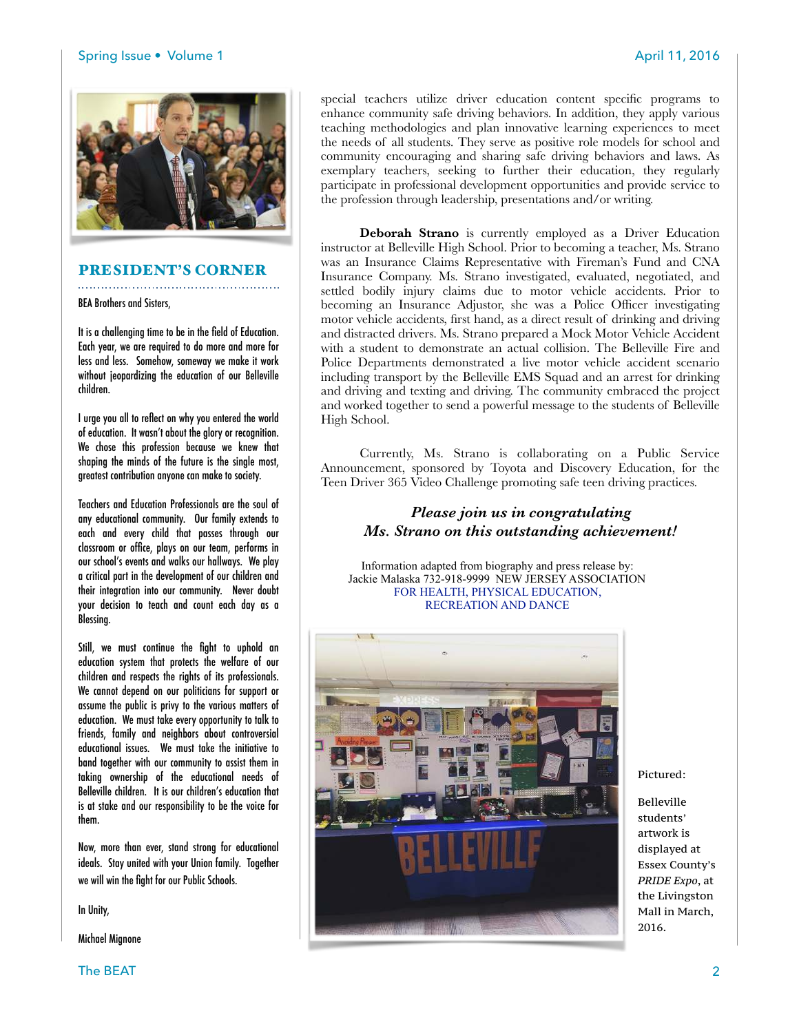

#### PRESIDENT'S CORNER

BEA Brothers and Sisters,

It is a challenging time to be in the field of Education. Each year, we are required to do more and more for less and less. Somehow, someway we make it work without jeopardizing the education of our Belleville children.

I urge you all to reflect on why you entered the world of education. It wasn't about the glory or recognition. We chose this profession because we knew that shaping the minds of the future is the single most, greatest contribution anyone can make to society.

Teachers and Education Professionals are the soul of any educational community. Our family extends to each and every child that passes through our classroom or office, plays on our team, performs in our school's events and walks our hallways. We play a critical part in the development of our children and their integration into our community. Never doubt your decision to teach and count each day as a Blessing.

Still, we must continue the fight to uphold an education system that protects the welfare of our children and respects the rights of its professionals. We cannot depend on our politicians for support or assume the public is privy to the various matters of education. We must take every opportunity to talk to friends, family and neighbors about controversial educational issues. We must take the initiative to band together with our community to assist them in taking ownership of the educational needs of Belleville children. It is our children's education that is at stake and our responsibility to be the voice for them.

Now, more than ever, stand strong for educational ideals. Stay united with your Union family. Together we will win the fight for our Public Schools.

In Unity,

Michael Mignone

special teachers utilize driver education content specific programs to enhance community safe driving behaviors. In addition, they apply various teaching methodologies and plan innovative learning experiences to meet the needs of all students. They serve as positive role models for school and community encouraging and sharing safe driving behaviors and laws. As exemplary teachers, seeking to further their education, they regularly participate in professional development opportunities and provide service to the profession through leadership, presentations and/or writing.

**Deborah Strano** is currently employed as a Driver Education instructor at Belleville High School. Prior to becoming a teacher, Ms. Strano was an Insurance Claims Representative with Fireman's Fund and CNA Insurance Company. Ms. Strano investigated, evaluated, negotiated, and settled bodily injury claims due to motor vehicle accidents. Prior to becoming an Insurance Adjustor, she was a Police Officer investigating motor vehicle accidents, first hand, as a direct result of drinking and driving and distracted drivers. Ms. Strano prepared a Mock Motor Vehicle Accident with a student to demonstrate an actual collision. The Belleville Fire and Police Departments demonstrated a live motor vehicle accident scenario including transport by the Belleville EMS Squad and an arrest for drinking and driving and texting and driving. The community embraced the project and worked together to send a powerful message to the students of Belleville High School.

Currently, Ms. Strano is collaborating on a Public Service Announcement, sponsored by Toyota and Discovery Education, for the Teen Driver 365 Video Challenge promoting safe teen driving practices.

#### *Please join us in congratulating Ms. Strano on this outstanding achievement!*

Information adapted from biography and press release by: Jackie Malaska 732-918-9999 NEW JERSEY ASSOCIATION FOR HEALTH, PHYSICAL EDUCATION, RECREATION AND DANCE



Pictured:

Belleville students' artwork is displayed at Essex County's *PRIDE Expo*, at the Livingston Mall in March, 2016.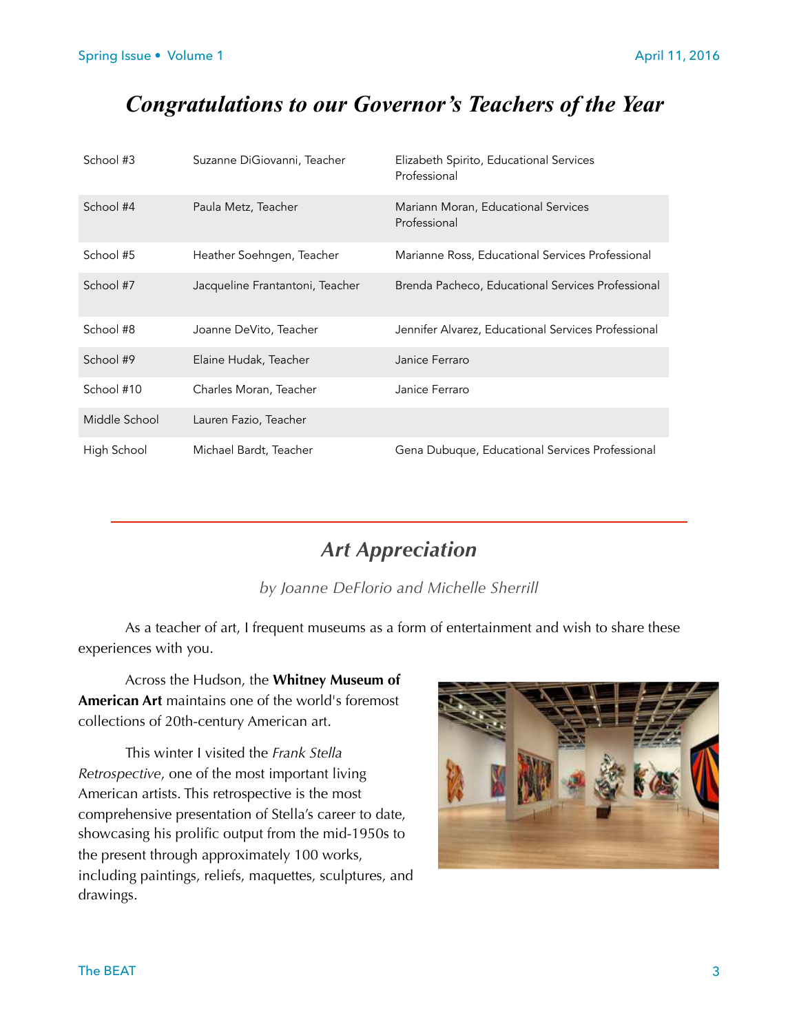## *Congratulations to our Governor's Teachers of the Year*

| School #3     | Suzanne DiGiovanni, Teacher     | Elizabeth Spirito, Educational Services<br>Professional |
|---------------|---------------------------------|---------------------------------------------------------|
| School #4     | Paula Metz, Teacher             | Mariann Moran, Educational Services<br>Professional     |
| School #5     | Heather Soehngen, Teacher       | Marianne Ross, Educational Services Professional        |
| School #7     | Jacqueline Frantantoni, Teacher | Brenda Pacheco, Educational Services Professional       |
| School #8     | Joanne DeVito, Teacher          | Jennifer Alvarez, Educational Services Professional     |
| School #9     | Elaine Hudak, Teacher           | Janice Ferraro                                          |
| School #10    | Charles Moran, Teacher          | Janice Ferraro                                          |
| Middle School | Lauren Fazio, Teacher           |                                                         |
| High School   | Michael Bardt, Teacher          | Gena Dubuque, Educational Services Professional         |

## *Art Appreciation*

*by Joanne DeFlorio and Michelle Sherrill* 

 As a teacher of art, I frequent museums as a form of entertainment and wish to share these experiences with you.

 Across the Hudson, the **Whitney Museum of American Art** maintains one of the world's foremost collections of 20th-century American art.

 This winter I visited the *Frank Stella Retrospective*, one of the most important living American artists. This retrospective is the most comprehensive presentation of Stella's career to date, showcasing his prolific output from the mid-1950s to the present through approximately 100 works, including paintings, reliefs, maquettes, sculptures, and drawings.

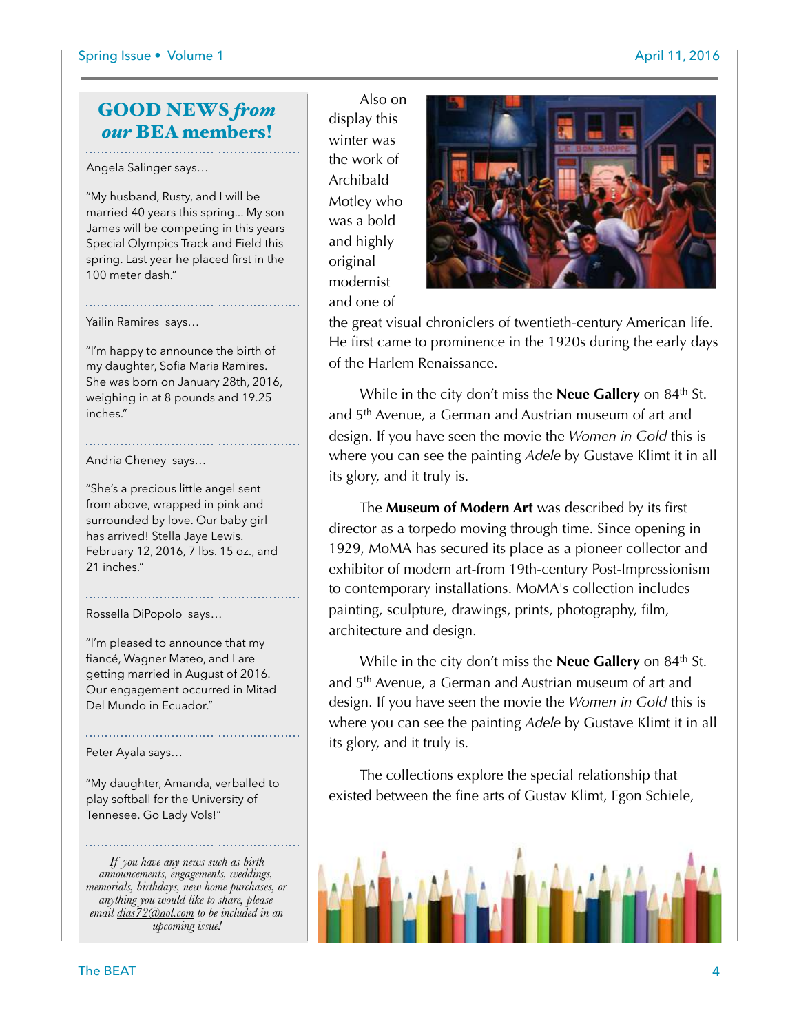## GOOD NEWS *from our* BEA members!

Angela Salinger says…

"My husband, Rusty, and I will be married 40 years this spring... My son James will be competing in this years Special Olympics Track and Field this spring. Last year he placed first in the 100 meter dash."

Yailin Ramires says…

"I'm happy to announce the birth of my daughter, Sofia Maria Ramires. She was born on January 28th, 2016, weighing in at 8 pounds and 19.25 inches."

Andria Cheney says…

"She's a precious little angel sent from above, wrapped in pink and surrounded by love. Our baby girl has arrived! Stella Jaye Lewis. February 12, 2016, 7 lbs. 15 oz., and 21 inches."

Rossella DiPopolo says…

"I'm pleased to announce that my fiancé, Wagner Mateo, and I are getting married in August of 2016. Our engagement occurred in Mitad Del Mundo in Ecuador."

Peter Ayala says…

"My daughter, Amanda, verballed to play softball for the University of Tennesee. Go Lady Vols!"

*If you have any news such as birth announcements, engagements, weddings, memorials, birthdays, new home purchases, or anything you would like to share, please email [dias72@aol.com](mailto:dias72@aol.com) to be included in an upcoming issue!*

 Also on display this winter was the work of Archibald Motley who was a bold and highly original modernist and one of



the great visual chroniclers of twentieth-century American life. He first came to prominence in the 1920s during the early days of the Harlem Renaissance.

While in the city don't miss the **Neue Gallery** on 84<sup>th</sup> St. and 5th Avenue, a German and Austrian museum of art and design. If you have seen the movie the *Women in Gold* this is where you can see the painting *Adele* by Gustave Klimt it in all its glory, and it truly is.

 The **Museum of Modern Art** was described by its first director as a torpedo moving through time. Since opening in 1929, MoMA has secured its place as a pioneer collector and exhibitor of modern art-from 19th-century Post-Impressionism to contemporary installations. MoMA's collection includes painting, sculpture, drawings, prints, photography, film, architecture and design.

While in the city don't miss the **Neue Gallery** on 84<sup>th</sup> St. and 5th Avenue, a German and Austrian museum of art and design. If you have seen the movie the *Women in Gold* this is where you can see the painting *Adele* by Gustave Klimt it in all its glory, and it truly is.

 The collections explore the special relationship that existed between the fine arts of Gustav Klimt, Egon Schiele,

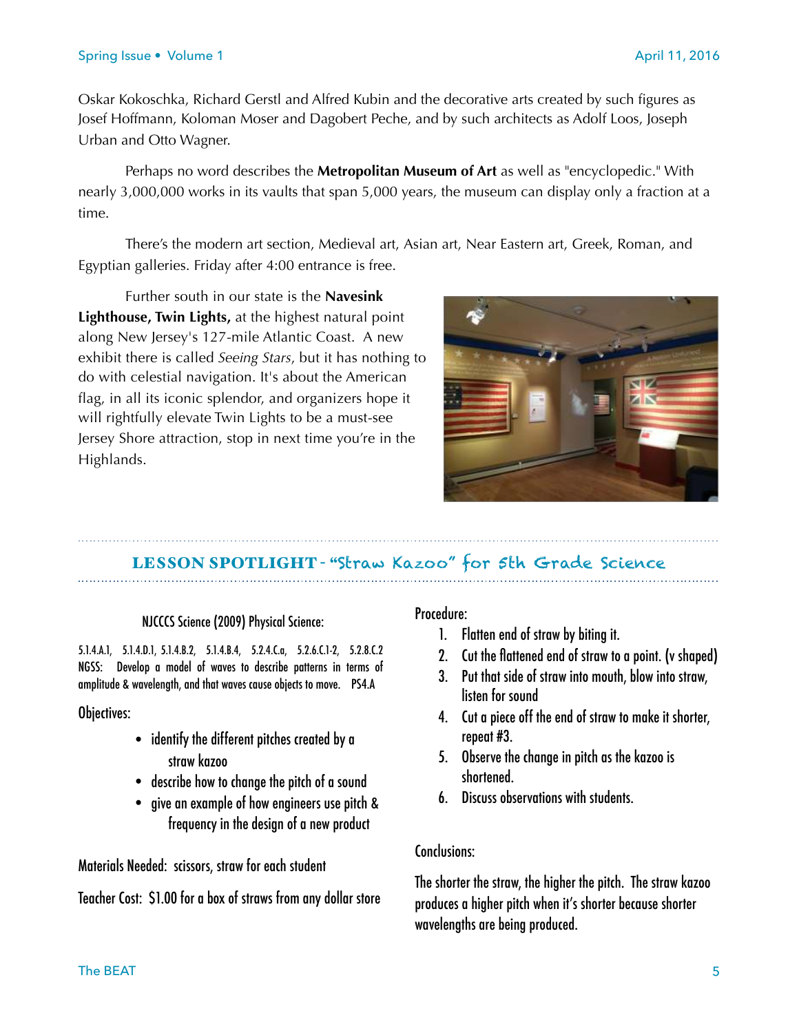Oskar Kokoschka, Richard Gerstl and Alfred Kubin and the decorative arts created by such figures as Josef Hoffmann, Koloman Moser and Dagobert Peche, and by such architects as Adolf Loos, Joseph Urban and Otto Wagner.

 Perhaps no word describes the **Metropolitan Museum of Art** as well as "encyclopedic." With nearly 3,000,000 works in its vaults that span 5,000 years, the museum can display only a fraction at a time.

 There's the modern art section, Medieval art, Asian art, Near Eastern art, Greek, Roman, and Egyptian galleries. Friday after 4:00 entrance is free.

Further south in our state is the **Navesink Lighthouse, Twin Lights,** at the highest natural point along New Jersey's 127-mile Atlantic Coast. A new exhibit there is called *[Seeing Stars](http://cloud.siteencore.com/v1/loading.html%22%20%5Cl%20%22rotftwetu=aHR0cHMlM0EvL3d3dy5nb29nbGUuY29tLw==&ibothsahtrtd=aHR0cCUzQS8vZmlsZS8vL0MlM0EvVXNlcnMvcmVwb3J0ZXIvRG93bmxvYWRzL1NlZWluZyUyNTIwU3RhcnMlMjUyMEJvb2tsZXRfMTItMzAtJTI1MjBEcmFmdCUyNTIwJTI4MiUyOS5wZGY=&shtlp=aHR0cCUzQS8vd3d3Lm5qLmNvbS9uZXdzL2luZG%22%20%5Ct%20%22_blank)*, but it has nothing to do with celestial navigation. It's about the American flag, in all its iconic splendor, and organizers hope it will rightfully elevate Twin Lights to be a must-see Jersey Shore attraction, stop in next time you're in the Highlands.



# LESSON SPOTLIGHT - "Straw Kazoo" for 5th Grade Science

#### NJCCCS Science (2009) Physical Science:

5.1.4.A.1, 5.1.4.D.1, 5.1.4.B.2, 5.1.4.B.4, 5.2.4.C.a, 5.2.6.C.1-2, 5.2.8.C.2 NGSS: Develop a model of waves to describe patterns in terms of amplitude & wavelength, and that waves cause objects to move. PS4.A

Objectives:

- identify the different pitches created by a straw kazoo
- describe how to change the pitch of a sound
- give an example of how engineers use pitch & frequency in the design of a new product

Materials Needed: scissors, straw for each student

Teacher Cost: \$1.00 for a box of straws from any dollar store

#### Procedure:

- 1. Flatten end of straw by biting it.
- 2. Cut the flattened end of straw to a point. (v shaped)
- 3. Put that side of straw into mouth, blow into straw, listen for sound
- 4. Cut a piece off the end of straw to make it shorter, repeat #3.
- 5. Observe the change in pitch as the kazoo is shortened.
- 6. Discuss observations with students.

#### Conclusions:

The shorter the straw, the higher the pitch. The straw kazoo produces a higher pitch when it's shorter because shorter wavelengths are being produced.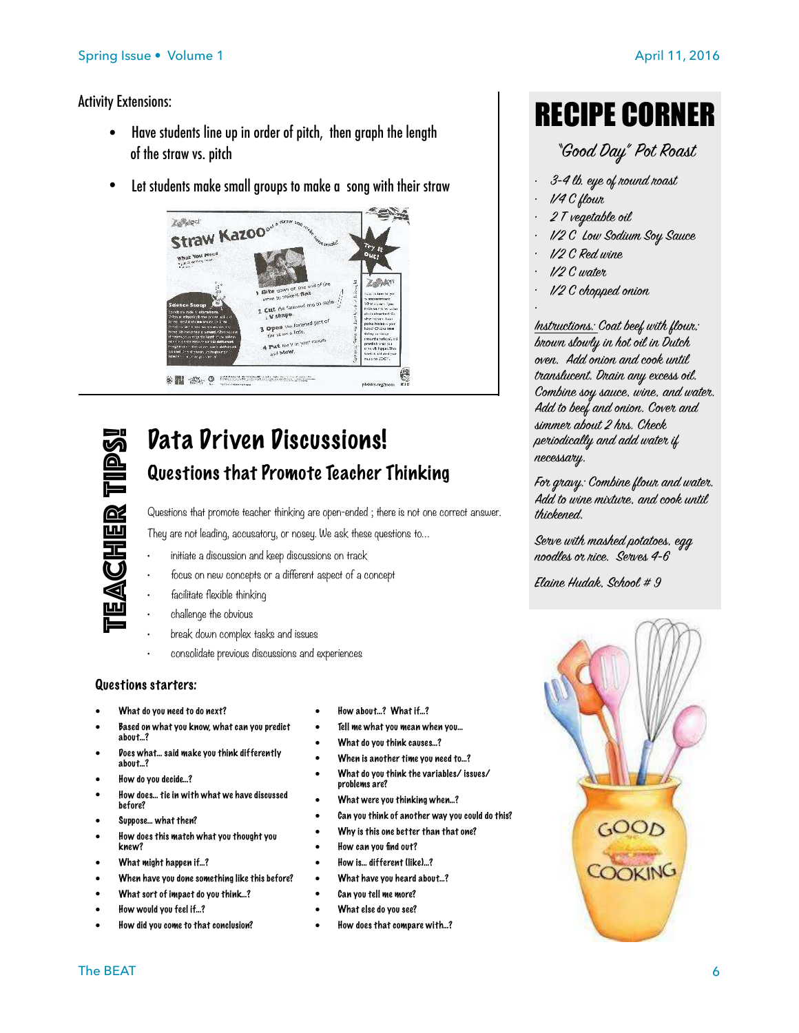#### Activity Extensions:

- Have students line up in order of pitch, then graph the length of the straw vs. pitch
- Let students make small groups to make a song with their straw





## Data Driven Discussions! Questions that Promote Teacher Thinking

Questions that promote teacher thinking are open-ended ; there is not one correct answer. They are not leading, accusatory, or nosey. We ask these questions to…

- initiate a discussion and keep discussions on track
- focus on new concepts or a different aspect of a concept
- facilitate flexible thinking
- challenge the obvious
- break down complex tasks and issues
- consolidate previous discussions and experiences

#### Questions starters:

- What do you need to do next?
- Based on what you know, what can you predict about…?
- Does what… said make you think differently about…?
- How do you decide…?
- How does… tie in with what we have discussed before?
- Suppose… what then?
- How does this match what you thought you knew?
- What might happen if…?
- When have you done something like this before?
- What sort of impact do you think...?
- How would you feel if…?
- How did you come to that conclusion?
- How about…? What if…?
- Tell me what you mean when you…
- What do you think causes…?
- When is another time you need to...?
- What do you think the variables/ issues/ problems are?
- What were you thinking when...?
- Can you think of another way you could do this?
- Why is this one better than that one?
- How can you find out?
- How is… different (like)…?
- What have you heard about…?
- Can vou tell me more?
- What else do you see?
- How does that compare with…?

# RECIPE CORNER

*"G*oo*d Day" Pot Roast* 

- *• 3-4 lb. eye of r*ou*nd roast*
- *• 1/4 C fl*ou*r*
- *• 2 T vegetable* oi*l*
- *• 1/2 C L*ow *Sodium S*oy *Sauce*
- *• 1/2 C Red wine*
- *• 1/2 C wat*er
- *• 1/2 C ch*op*ped* on*i*on

*• Ins*tr*ucti*on*s: Coat beef with fl*ou*r; br*ow*n sl*ow*ly in hot* oi*l in Dutch*  ov*en. Add* on*i*on *and c*oo*k until*  tr*anslucent. Drain any* ex*cess* oi*l. C*om*bine s*oy *sauce, wine, and wat*er*. Add to beef and* on*i*on*. C*over *and simm*er *ab*ou*t 2 hrs. Check p*er*iodically and add wat*er *if necess*ar*y.* 

*F*or gr*avy: C*om*bine fl*ou*r and wat*er*. Add to wine m*ix*t*ur*e, and c*oo*k until thickened.* 

*S*er*ve with mashed potatoes, egg n*oo*dles* or *rice. S*er*ves 4-6* 

*Elaine Hudak, Sch*oo*l # 9*